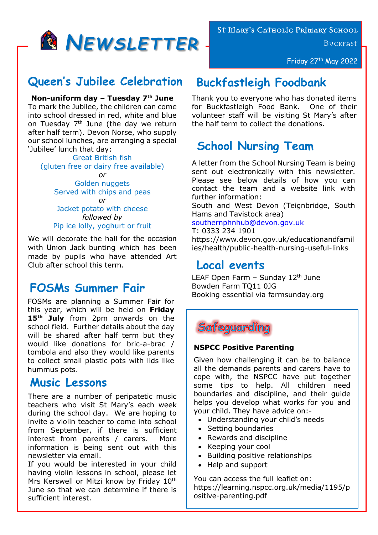

# *Z* **Queen's Jubilee Celebration**

**Non-uniform day – Tuesday 7th June**

To mark the Jubilee, the children can come into school dressed in red, white and blue on Tuesday  $7<sup>th</sup>$  June (the day we return after half term). Devon Norse, who supply our school lunches, are arranging a special 'Jubilee' lunch that day:

Great British fish (gluten free or dairy free available) *or*

> Golden nuggets Served with chips and peas *or*

> Jacket potato with cheese *followed by* Pip ice lolly, yoghurt or fruit

We will decorate the hall for the occasion with Union Jack bunting which has been made by pupils who have attended Art Club after school this term.

## **FOSMs Summer Fair**

FOSMs are planning a Summer Fair for this year, which will be held on **Friday 15th July** from 2pm onwards on the school field. Further details about the day will be shared after half term but they would like donations for bric-a-brac / tombola and also they would like parents to collect small plastic pots with lids like hummus pots.

### **Music Lessons**

There are a number of peripatetic music teachers who visit St Mary's each week during the school day. We are hoping to invite a violin teacher to come into school from September, if there is sufficient interest from parents / carers. More information is being sent out with this newsletter via email.

If you would be interested in your child having violin lessons in school, please let Mrs Kerswell or Mitzi know by Friday 10<sup>th</sup> June so that we can determine if there is sufficient interest.

St Mary's Catholic Primary School

**BUCKFAST** 

Friday 27<sup>th</sup> May 2022

## **Buckfastleigh Foodbank**

Thank you to everyone who has donated items for Buckfastleigh Food Bank. One of their volunteer staff will be visiting St Mary's after the half term to collect the donations.

## **School Nursing Team**

A letter from the School Nursing Team is being sent out electronically with this newsletter. Please see below details of how you can contact the team and a website link with further information:

South and West Devon (Teignbridge, South Hams and Tavistock area)

[southernphnhub@devon.gov.uk](mailto:southernphnhub@devon.gov.uk)

T: 0333 234 1901

https://www.devon.gov.uk/educationandfamil ies/health/public-health-nursing-useful-links

## **Local events**

LEAF Open Farm  $-$  Sunday 12<sup>th</sup> June Bowden Farm TQ11 0JG Booking essential via farmsunday.org

Safeguarding

#### **NSPCC Positive Parenting**

Given how challenging it can be to balance all the demands parents and carers have to cope with, the NSPCC have put together some tips to help. All children need boundaries and discipline, and their guide helps you develop what works for you and your child. They have advice on:-

- Understanding your child's needs
- Setting boundaries
- Rewards and discipline
- Keeping your cool
- Building positive relationships
- Help and support

You can access the full leaflet on: https://learning.nspcc.org.uk/media/1195/p ositive-parenting.pdf